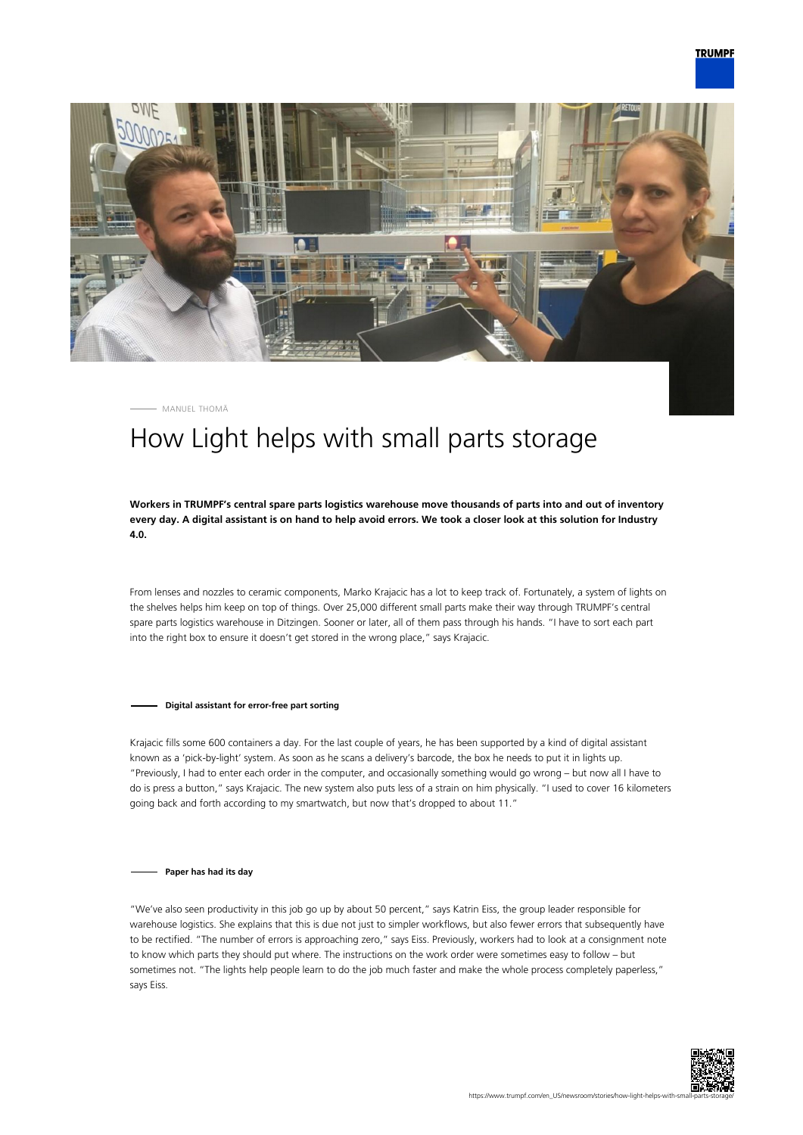



MANUEL THOMÄ

## How Light helps with small parts storage

**Workers in TRUMPF's central spare parts logistics warehouse move thousands of parts into and out of inventory every day. A digital assistant is on hand to help avoid errors. We took a closer look at this solution for Industry 4.0.**

From lenses and nozzles to ceramic components, Marko Krajacic has a lot to keep track of. Fortunately, a system of lights on the shelves helps him keep on top of things. Over 25,000 different small parts make their way through TRUMPF's central spare parts logistics warehouse in Ditzingen. Sooner or later, all of them pass through his hands. "I have to sort each part into the right box to ensure it doesn't get stored in the wrong place," says Krajacic.

## **Digital assistant for error-free part sorting**

Krajacic fills some 600 containers a day. For the last couple of years, he has been supported by a kind of digital assistant known as a 'pick-by-light' system. As soon as he scans a delivery's barcode, the box he needs to put it in lights up. "Previously, I had to enter each order in the computer, and occasionally something would go wrong – but now all I have to do is press a button," says Krajacic. The new system also puts less of a strain on him physically. "I used to cover 16 kilometers going back and forth according to my smartwatch, but now that's dropped to about 11."

## **Paper has had its day**

"We've also seen productivity in this job go up by about 50 percent," says Katrin Eiss, the group leader responsible for warehouse logistics. She explains that this is due not just to simpler workflows, but also fewer errors that subsequently have to be rectified. "The number of errors is approaching zero," says Eiss. Previously, workers had to look at a consignment note to know which parts they should put where. The instructions on the work order were sometimes easy to follow – but sometimes not. "The lights help people learn to do the job much faster and make the whole process completely paperless," says Eiss.